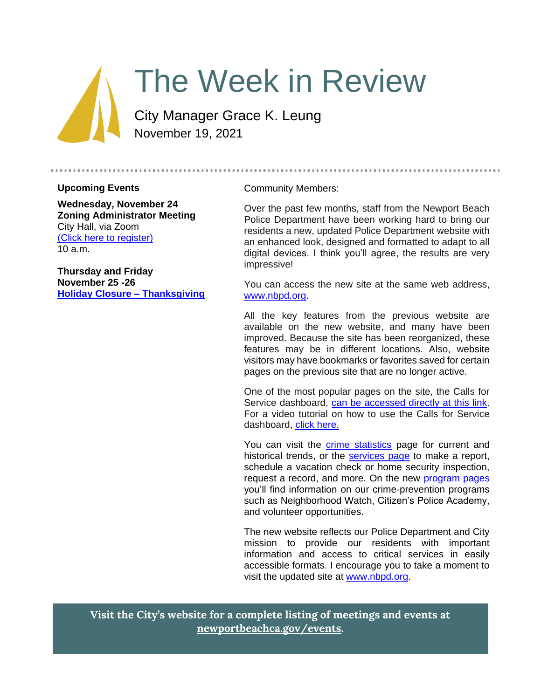

# The Week in Review

City Manager Grace K. Leung November 19, 2021

#### **Upcoming Events**

**Wednesday, November 24 Zoning Administrator Meeting** City Hall, via Zoom [\(Click here to register\)](https://us06web.zoom.us/webinar/register/WN_rj4ue2OQRNmdpXcqk8wEBg) 10 a.m.

**Thursday and Friday November 25 -26 [Holiday Closure –](https://newportbeachca.gov/Home/Components/Calendar/Event/67630/72) Thanksgiving**

#### Community Members:

Over the past few months, staff from the Newport Beach Police Department have been working hard to bring our residents a new, updated Police Department website with an enhanced look, designed and formatted to adapt to all digital devices. I think you'll agree, the results are very impressive!

You can access the new site at the same web address, [www.nbpd.org.](http://www.nbpd.org/)

All the key features from the previous website are available on the new website, and many have been improved. Because the site has been reorganized, these features may be in different locations. Also, website visitors may have bookmarks or favorites saved for certain pages on the previous site that are no longer active.

One of the most popular pages on the site, the Calls for Service dashboard, [can be accessed directly at this link.](https://nbgis.newportbeachca.gov/gispub/Dashboards/PoliceCallsDash.htm) For a video tutorial on how to use the Calls for Service dashboard, [click here.](https://www.nbpd.org/what-we-do/information/calls-for-service/dashboard-walkthrough)

You can visit the [crime statistics](https://www.nbpd.org/what-we-do/information/crime-statistics) page for current and historical trends, or the [services](https://www.nbpd.org/what-we-do/services) page to make a report, schedule a vacation check or home security inspection, request a record, and more. On the new [program pages](https://www.nbpd.org/what-we-do/programs) you'll find information on our crime-prevention programs such as Neighborhood Watch, Citizen's Police Academy, and volunteer opportunities.

The new website reflects our Police Department and City mission to provide our residents with important information and access to critical services in easily accessible formats. I encourage you to take a moment to visit the updated site at [www.nbpd.org.](http://www.nbpd.org/)

**Visit the City's website for a complete listing of meetings and events at [newportbeachca.gov/events.](https://www.newportbeachca.gov/government/data-hub/city-calendar)**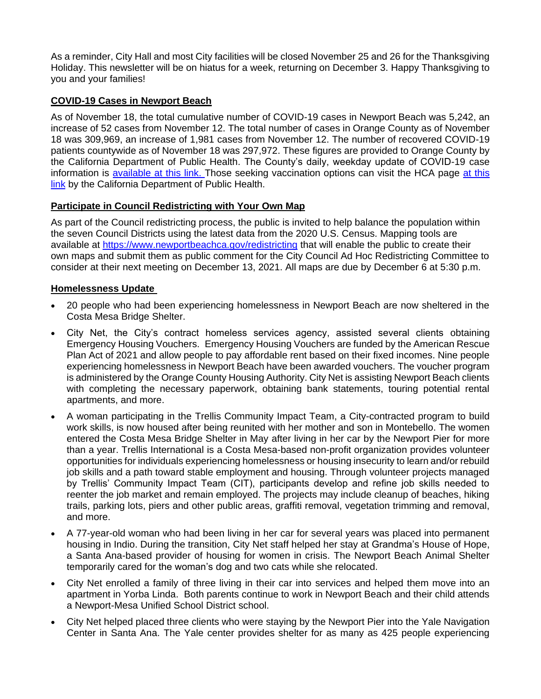As a reminder, City Hall and most City facilities will be closed November 25 and 26 for the Thanksgiving Holiday. This newsletter will be on hiatus for a week, returning on December 3. Happy Thanksgiving to you and your families!

## **COVID-19 Cases in Newport Beach**

As of November 18, the total cumulative number of COVID-19 cases in Newport Beach was 5,242, an increase of 52 cases from November 12. The total number of cases in Orange County as of November 18 was 309,969, an increase of 1,981 cases from November 12. The number of recovered COVID-19 patients countywide as of November 18 was 297,972. These figures are provided to Orange County by the California Department of Public Health. The County's daily, weekday update of COVID-19 case information is **available [at this](https://occovid19.ochealthinfo.com/covid-19-vaccine-distribution-channels) link.** Those seeking vaccination options can visit the HCA page at this [link](https://occovid19.ochealthinfo.com/covid-19-vaccine-distribution-channels) by the California Department of Public Health.

### **Participate in Council Redistricting with Your Own Map**

As part of the Council redistricting process, the public is invited to help balance the population within the seven Council Districts using the latest data from the 2020 U.S. Census. Mapping tools are available at<https://www.newportbeachca.gov/redistricting> that will enable the public to create their own maps and submit them as public comment for the City Council Ad Hoc Redistricting Committee to consider at their next meeting on December 13, 2021. All maps are due by December 6 at 5:30 p.m.

#### **Homelessness Update**

- 20 people who had been experiencing homelessness in Newport Beach are now sheltered in the Costa Mesa Bridge Shelter.
- City Net, the City's contract homeless services agency, assisted several clients obtaining Emergency Housing Vouchers. Emergency Housing Vouchers are funded by the American Rescue Plan Act of 2021 and allow people to pay affordable rent based on their fixed incomes. Nine people experiencing homelessness in Newport Beach have been awarded vouchers. The voucher program is administered by the Orange County Housing Authority. City Net is assisting Newport Beach clients with completing the necessary paperwork, obtaining bank statements, touring potential rental apartments, and more.
- A woman participating in the Trellis Community Impact Team, a City-contracted program to build work skills, is now housed after being reunited with her mother and son in Montebello. The women entered the Costa Mesa Bridge Shelter in May after living in her car by the Newport Pier for more than a year. Trellis International is a Costa Mesa-based non-profit organization provides volunteer opportunities for individuals experiencing homelessness or housing insecurity to learn and/or rebuild job skills and a path toward stable employment and housing. Through volunteer projects managed by Trellis' Community Impact Team (CIT), participants develop and refine job skills needed to reenter the job market and remain employed. The projects may include cleanup of beaches, hiking trails, parking lots, piers and other public areas, graffiti removal, vegetation trimming and removal, and more.
- A 77-year-old woman who had been living in her car for several years was placed into permanent housing in Indio. During the transition, City Net staff helped her stay at Grandma's House of Hope, a Santa Ana-based provider of housing for women in crisis. The Newport Beach Animal Shelter temporarily cared for the woman's dog and two cats while she relocated.
- City Net enrolled a family of three living in their car into services and helped them move into an apartment in Yorba Linda. Both parents continue to work in Newport Beach and their child attends a Newport-Mesa Unified School District school.
- City Net helped placed three clients who were staying by the Newport Pier into the Yale Navigation Center in Santa Ana. The Yale center provides shelter for as many as 425 people experiencing